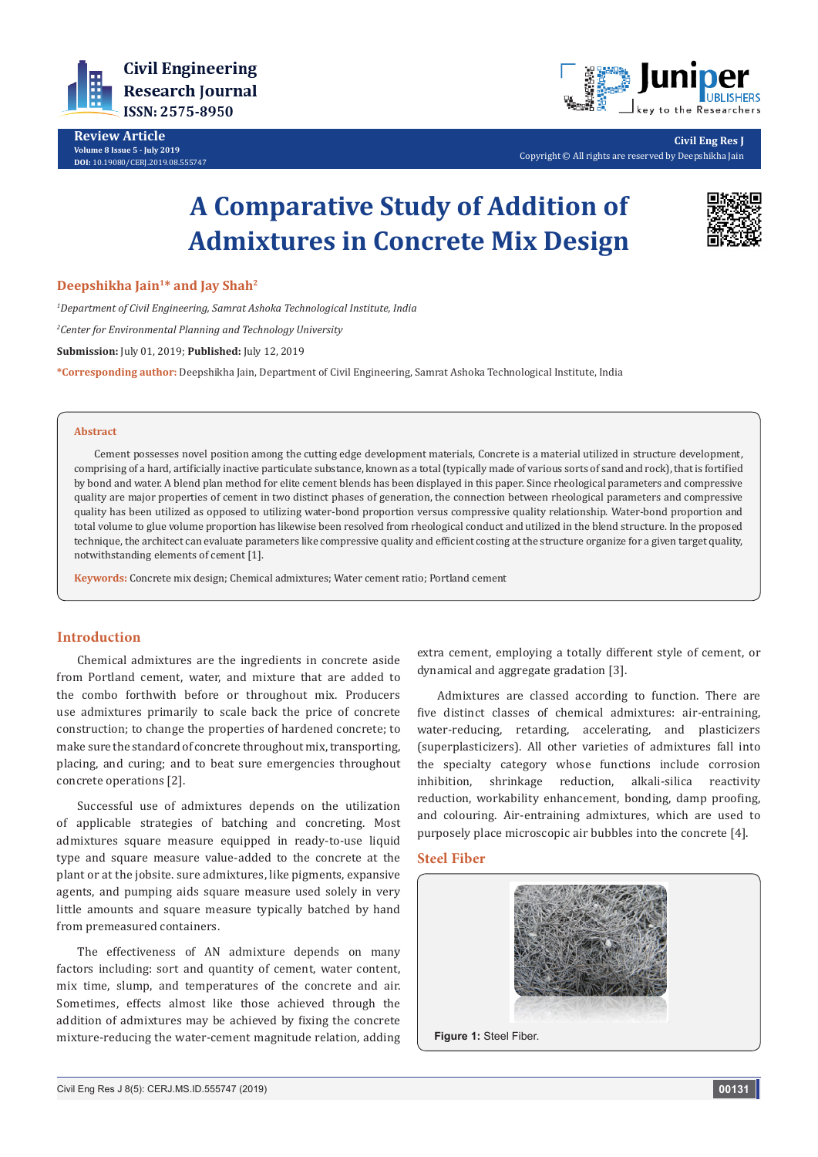

**Review Article Volume 8 Issue 5 - July 2019 DOI:** [10.19080/CERJ.2019.08.555747](http://dx.doi.org/10.19080/CERJ.2019.08.555747)



**Civil Eng Res J** Copyright © All rights are reserved by Deepshikha Jain

# **A Comparative Study of Addition of Admixtures in Concrete Mix Design**



#### **Deepshikha Jain1\* and Jay Shah2**

*1 Department of Civil Engineering, Samrat Ashoka Technological Institute, India 2 Center for Environmental Planning and Technology University* **Submission:** July 01, 2019; **Published:** July 12, 2019 **\*Corresponding author:** Deepshikha Jain, Department of Civil Engineering, Samrat Ashoka Technological Institute, India

#### **Abstract**

Cement possesses novel position among the cutting edge development materials, Concrete is a material utilized in structure development, comprising of a hard, artificially inactive particulate substance, known as a total (typically made of various sorts of sand and rock), that is fortified by bond and water. A blend plan method for elite cement blends has been displayed in this paper. Since rheological parameters and compressive quality are major properties of cement in two distinct phases of generation, the connection between rheological parameters and compressive quality has been utilized as opposed to utilizing water-bond proportion versus compressive quality relationship. Water-bond proportion and total volume to glue volume proportion has likewise been resolved from rheological conduct and utilized in the blend structure. In the proposed technique, the architect can evaluate parameters like compressive quality and efficient costing at the structure organize for a given target quality, notwithstanding elements of cement [1].

**Keywords:** Concrete mix design; Chemical admixtures; Water cement ratio; Portland cement

### **Introduction**

Chemical admixtures are the ingredients in concrete aside from Portland cement, water, and mixture that are added to the combo forthwith before or throughout mix. Producers use admixtures primarily to scale back the price of concrete construction; to change the properties of hardened concrete; to make sure the standard of concrete throughout mix, transporting, placing, and curing; and to beat sure emergencies throughout concrete operations [2].

Successful use of admixtures depends on the utilization of applicable strategies of batching and concreting. Most admixtures square measure equipped in ready-to-use liquid type and square measure value-added to the concrete at the plant or at the jobsite. sure admixtures, like pigments, expansive agents, and pumping aids square measure used solely in very little amounts and square measure typically batched by hand from premeasured containers.

The effectiveness of AN admixture depends on many factors including: sort and quantity of cement, water content, mix time, slump, and temperatures of the concrete and air. Sometimes, effects almost like those achieved through the addition of admixtures may be achieved by fixing the concrete mixture-reducing the water-cement magnitude relation, adding extra cement, employing a totally different style of cement, or dynamical and aggregate gradation [3].

Admixtures are classed according to function. There are five distinct classes of chemical admixtures: air-entraining, water-reducing, retarding, accelerating, and plasticizers (superplasticizers). All other varieties of admixtures fall into the specialty category whose functions include corrosion inhibition, shrinkage reduction, alkali-silica reactivity reduction, workability enhancement, bonding, damp proofing, and colouring. Air-entraining admixtures, which are used to purposely place microscopic air bubbles into the concrete [4].

### **Steel Fiber**

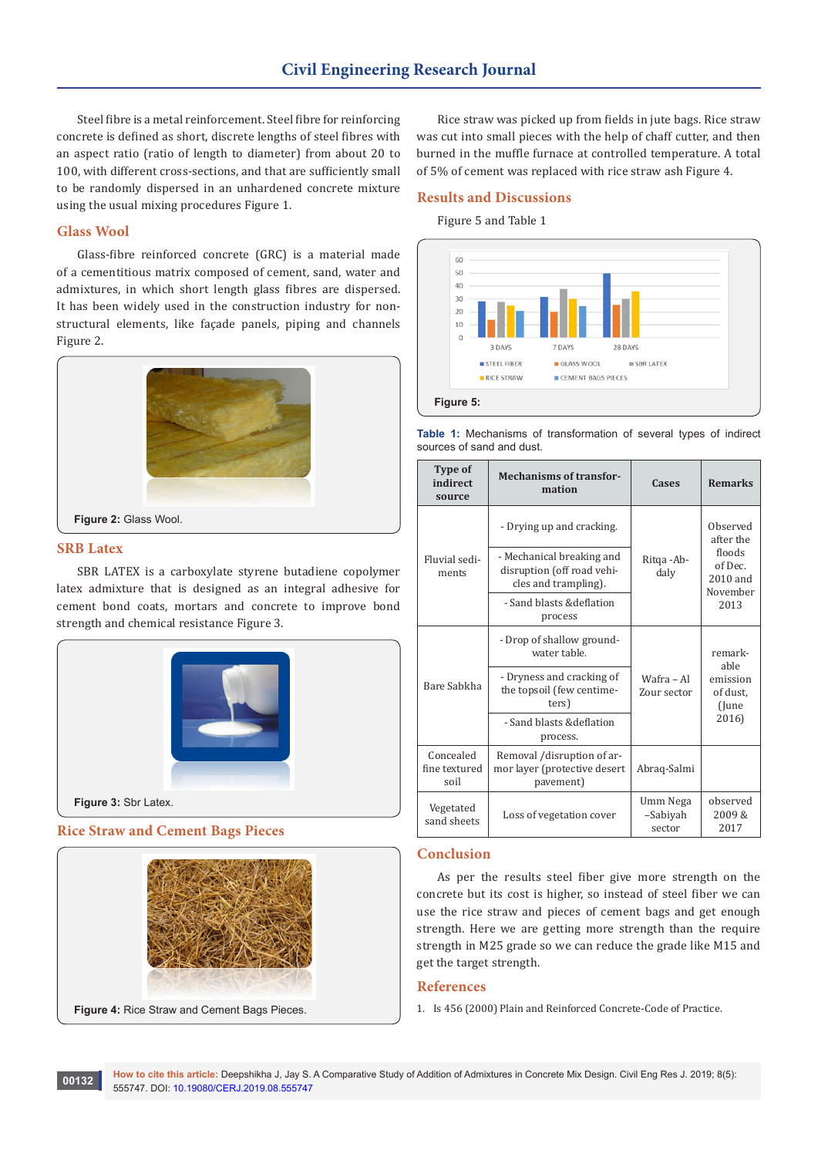Steel fibre is a metal reinforcement. Steel fibre for reinforcing concrete is defined as short, discrete lengths of steel fibres with an aspect ratio (ratio of length to diameter) from about 20 to 100, with different cross-sections, and that are sufficiently small to be randomly dispersed in an unhardened concrete mixture using the usual mixing procedures Figure 1.

## **Glass Wool**

Glass-fibre reinforced concrete (GRC) is a material made of a cementitious matrix composed of cement, sand, water and admixtures, in which short length glass fibres are dispersed. It has been widely used in the construction industry for nonstructural elements, like façade panels, piping and channels Figure 2.



### **SRB Latex**

SBR LATEX is a carboxylate styrene butadiene copolymer latex admixture that is designed as an integral adhesive for cement bond coats, mortars and concrete to improve bond strength and chemical resistance Figure 3.



#### **Rice Straw and Cement Bags Pieces**





Rice straw was picked up from fields in jute bags. Rice straw was cut into small pieces with the help of chaff cutter, and then burned in the muffle furnace at controlled temperature. A total of 5% of cement was replaced with rice straw ash Figure 4.

#### **Results and Discussions**

Figure 5 and Table 1

sources of sand and dust.



**Table 1:** Mechanisms of transformation of several types of indirect

| <b>Type of</b><br>indirect<br>source | <b>Mechanisms of transfor-</b><br>mation                                        | Cases                          | <b>Remarks</b>                                                             |
|--------------------------------------|---------------------------------------------------------------------------------|--------------------------------|----------------------------------------------------------------------------|
| Fluvial sedi-<br>ments               | - Drying up and cracking.                                                       | Ritga - Ab-<br>daly            | Observed<br>after the<br>floods<br>of Dec.<br>2010 and<br>November<br>2013 |
|                                      | - Mechanical breaking and<br>disruption (off road vehi-<br>cles and trampling). |                                |                                                                            |
|                                      | - Sand blasts &deflation<br>process                                             |                                |                                                                            |
| Bare Sabkha                          | - Drop of shallow ground-<br>water table.                                       | Wafra - Al<br>Zour sector      | remark-<br>able<br>emission<br>of dust,<br>(June<br>2016)                  |
|                                      | - Dryness and cracking of<br>the topsoil (few centime-<br>ters)                 |                                |                                                                            |
|                                      | - Sand blasts & deflation<br>process.                                           |                                |                                                                            |
| Concealed<br>fine textured<br>soil   | Removal /disruption of ar-<br>mor layer (protective desert<br>pavement)         | Abraq-Salmi                    |                                                                            |
| Vegetated<br>sand sheets             | Loss of vegetation cover                                                        | Umm Nega<br>-Sabiyah<br>sector | observed<br>2009&<br>2017                                                  |

## **Conclusion**

As per the results steel fiber give more strength on the concrete but its cost is higher, so instead of steel fiber we can use the rice straw and pieces of cement bags and get enough strength. Here we are getting more strength than the require strength in M25 grade so we can reduce the grade like M15 and get the target strength.

#### **References**

1. Is 456 (2000) Plain and Reinforced Concrete-Code of Practice.